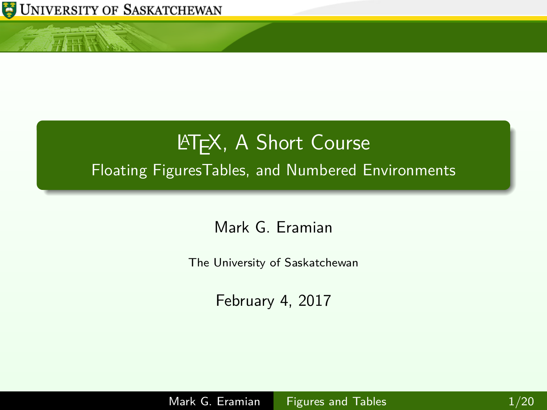

<span id="page-0-0"></span> $\ln k$ 

# **LATEX, A Short Course** Floating FiguresTables, and Numbered Environments

Mark G. Eramian

The University of Saskatchewan

February 4, 2017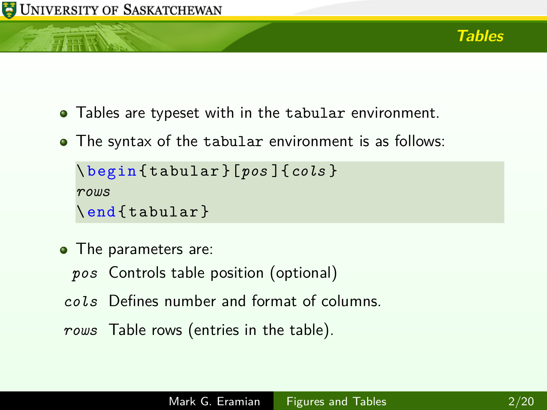

- Tables are typeset with in the tabular environment.
- The syntax of the tabular environment is as follows:

```
\ begin { tabular }[pos ]{cols }
rows
\end{ tabular }
```
- The parameters are:
	- *pos* Controls table position (optional)
- *cols* Defines number and format of columns.
- *rows* Table rows (entries in the table).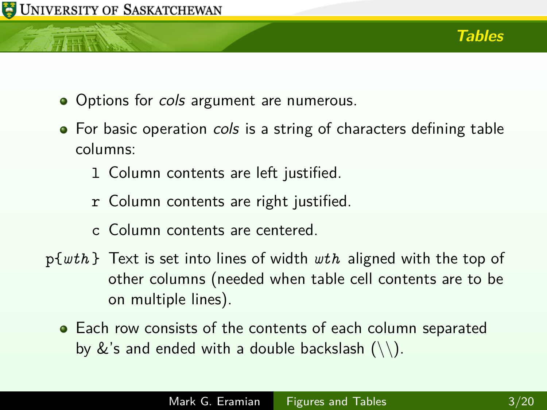

- Options for cols argument are numerous.
- For basic operation cols is a string of characters defining table columns:
	- l Column contents are left justified.
	- r Column contents are right justified.
	- c Column contents are centered.
- p{*wth* } Text is set into lines of width *wth* aligned with the top of other columns (needed when table cell contents are to be on multiple lines).
	- **•** Each row consists of the contents of each column separated by  $\&$ 's and ended with a double backslash  $(\setminus)$ .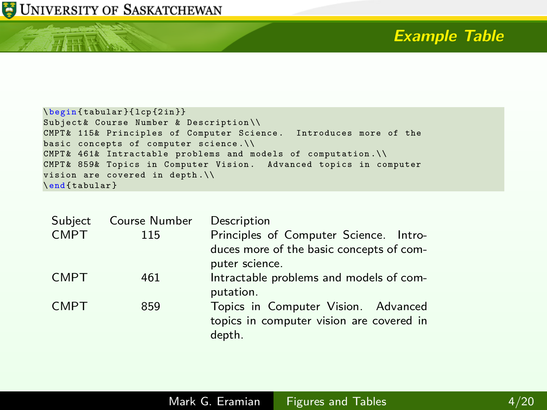

小开展

### **Example Table**

```
\ begin { tabular }{ lcp {2 in }}
Subject& Course Number & Description\\
CMPT & 115& Principles of Computer Science . Introduces more of the
basic concepts of computer science .\\
CMPT& 461\& Intractable problems and models of computation.
CMPT & 859& Topics in Computer Vision . Advanced topics in computer
vision are covered in depth .\\
\ end { tabular }
```

| Subject     | Course Number | Description                                                                                          |
|-------------|---------------|------------------------------------------------------------------------------------------------------|
| <b>CMPT</b> | 115           | Principles of Computer Science. Intro-<br>duces more of the basic concepts of com-<br>puter science. |
| <b>CMPT</b> | 461           | Intractable problems and models of com-<br>putation.                                                 |
| <b>CMPT</b> | 859           | Topics in Computer Vision. Advanced<br>topics in computer vision are covered in<br>depth.            |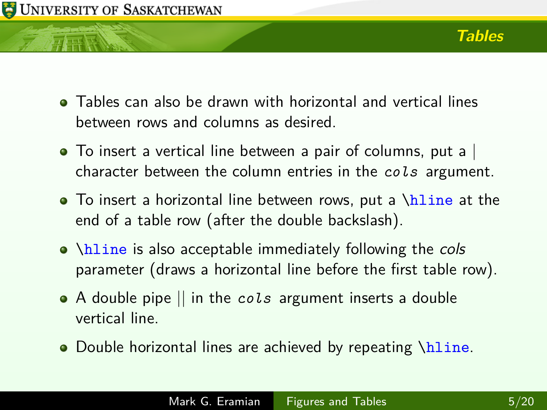

- Tables can also be drawn with horizontal and vertical lines between rows and columns as desired.
- To insert a vertical line between a pair of columns, put a character between the column entries in the *cols* argument.
- $\bullet$  To insert a horizontal line between rows, put a \hline at the end of a table row (after the double backslash).
- $\bullet$  \hline is also acceptable immediately following the cols parameter (draws a horizontal line before the first table row).
- A double pipe || in the *cols* argument inserts a double vertical line.
- Double horizontal lines are achieved by repeating \hline.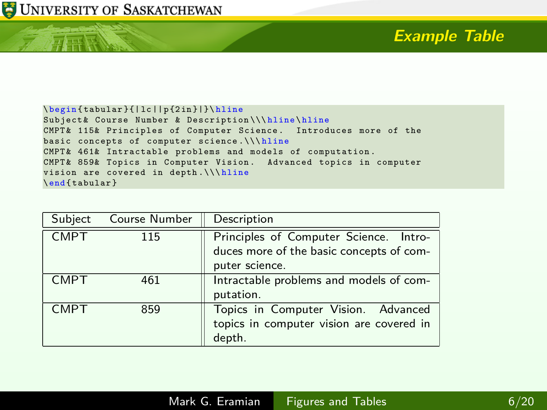

开开联

# **Example Table**

| \begin{tabular}{ lc  p{2in} }\hline                               |  |  |
|-------------------------------------------------------------------|--|--|
| Subject& Course Number & Description\\\hline\hline                |  |  |
| CMPT& 115& Principles of Computer Science. Introduces more of the |  |  |
| basic concepts of computer science.\\\hline                       |  |  |
| CMPT& 461& Intractable problems and models of computation.        |  |  |
| CMPT& 859& Topics in Computer Vision. Advanced topics in computer |  |  |
| vision are covered in depth. \\\hline                             |  |  |
| \end{tabular}                                                     |  |  |

| Subject     | Course Number | Description                                                                                          |
|-------------|---------------|------------------------------------------------------------------------------------------------------|
| <b>CMPT</b> | 115           | Principles of Computer Science. Intro-<br>duces more of the basic concepts of com-<br>puter science. |
| <b>CMPT</b> | 461           | Intractable problems and models of com-<br>putation.                                                 |
| <b>CMPT</b> | 859           | Topics in Computer Vision. Advanced<br>topics in computer vision are covered in<br>depth.            |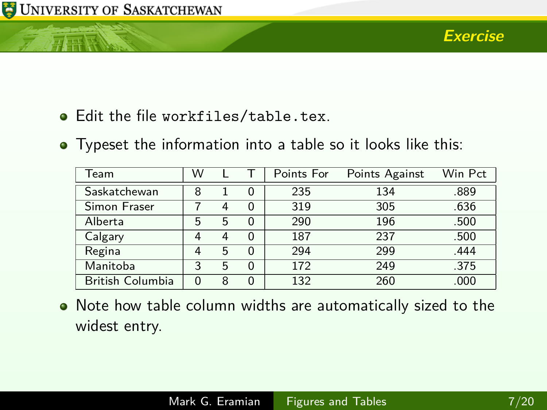TTE

- Edit the file workfiles/table.tex.
- Typeset the information into a table so it looks like this:

| Team                    | W |   |   | Points For | Points Against | Win Pct |
|-------------------------|---|---|---|------------|----------------|---------|
| Saskatchewan            | 8 |   | 0 | 235        | 134            | .889    |
| Simon Fraser            |   | 4 |   | 319        | 305            | .636    |
| Alberta                 | 5 | 5 | 0 | 290        | 196            | .500    |
| Calgary                 | 4 | 4 | 0 | 187        | 237            | .500    |
| Regina                  | 4 | 5 | 0 | 294        | 299            | .444    |
| Manitoba                | 3 | 5 | 0 | 172        | 249            | .375    |
| <b>British Columbia</b> |   | 8 |   | 132        | 260            | .000    |

Note how table column widths are automatically sized to the widest entry.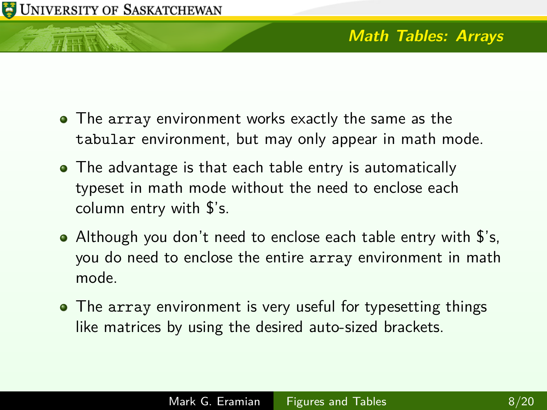- The array environment works exactly the same as the tabular environment, but may only appear in math mode.
- The advantage is that each table entry is automatically typeset in math mode without the need to enclose each column entry with \$'s.
- Although you don't need to enclose each table entry with \$'s, you do need to enclose the entire array environment in math mode.
- The array environment is very useful for typesetting things like matrices by using the desired auto-sized brackets.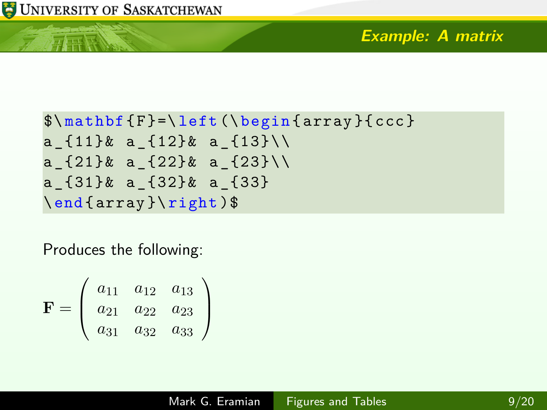### **Example: A matrix**

```
\mathcal{S}\mathcal{F} = \left\{ \begin{array}{c} f \in \mathcal{S} \end{array} \right\}a \{11\}\& a \{12\}\& a \{13\}\&a \{21\}& a \{22\}& a \{23\}\a _{31}& a _{32}& a _{33}
\end{ array }\ right )$
```
Produces the following:

$$
\mathbf{F} = \left(\begin{array}{ccc} a_{11} & a_{12} & a_{13} \\ a_{21} & a_{22} & a_{23} \\ a_{31} & a_{32} & a_{33} \end{array}\right)
$$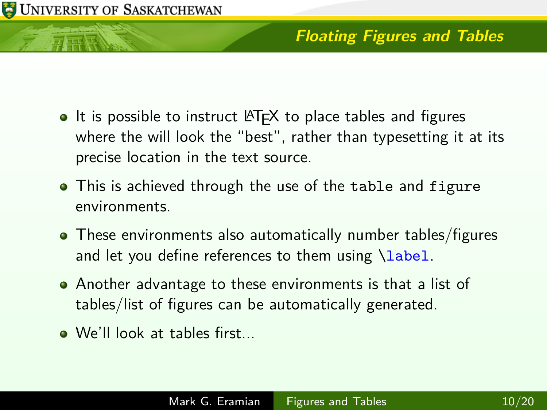## **Floating Figures and Tables**

- $\bullet$  It is possible to instruct LAT<sub>F</sub>X to place tables and figures where the will look the "best", rather than typesetting it at its precise location in the text source.
- This is achieved through the use of the table and figure environments.
- These environments also automatically number tables/figures and let you define references to them using \label.
- Another advantage to these environments is that a list of tables/list of figures can be automatically generated.
- We'll look at tables first...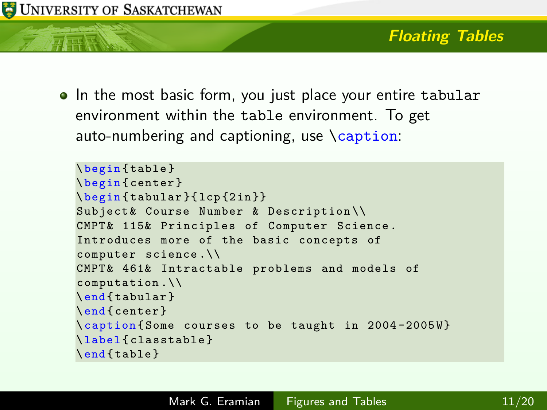• In the most basic form, you just place your entire tabular environment within the table environment. To get auto-numbering and captioning, use \caption:

```
\ begin { table }
\ begin { center }
\ begin { tabular }{ lcp {2 in }}
Subject & Course Number & Description \\
CMPT& 115& Principles of Computer Science.
Introduces more of the basic concepts of
computer science .\\
CMPT & 461& Intractable problems and models of
computation .\\
\ end { tabular }
\ end { center }
\ caption { Some courses to be taught in 2004 -2005 W}
\ label { classtable }
\ end { table }
```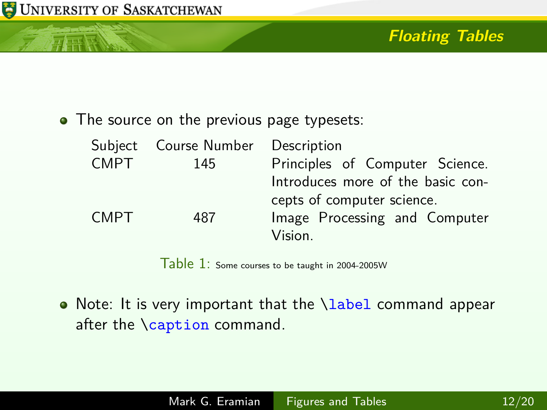元素

## **Floating Tables**

• The source on the previous page typesets:

| Subject     | Course Number Description |                                   |
|-------------|---------------------------|-----------------------------------|
| <b>CMPT</b> | 145                       | Principles of Computer Science.   |
|             |                           | Introduces more of the basic con- |
|             |                           | cepts of computer science.        |
| <b>CMPT</b> | 487                       | Image Processing and Computer     |
|             |                           | Vision.                           |

Table 1: Some courses to be taught in 2004-2005W

• Note: It is very important that the *\label* command appear after the \caption command.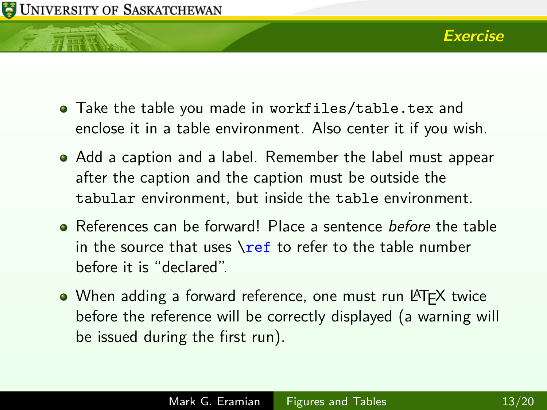

- Take the table you made in workfiles/table.tex and enclose it in a table environment. Also center it if you wish.
- Add a caption and a label. Remember the label must appear after the caption and the caption must be outside the tabular environment, but inside the table environment.
- References can be forward! Place a sentence *before* the table in the source that uses  $\ref{t}$  to refer to the table number before it is "declared".
- When adding a forward reference, one must run LAT<sub>E</sub>X twice before the reference will be correctly displayed (a warning will be issued during the first run).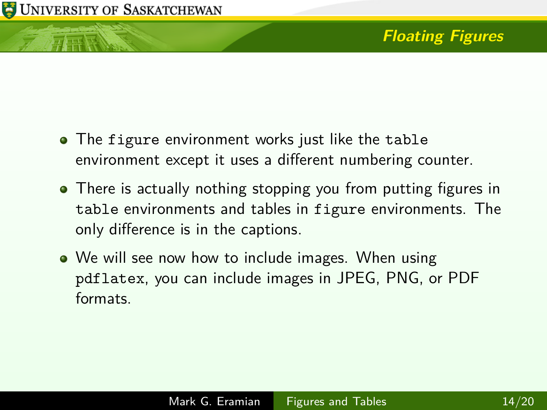# **Floating Figures**

- The figure environment works just like the table environment except it uses a different numbering counter.
- There is actually nothing stopping you from putting figures in table environments and tables in figure environments. The only difference is in the captions.
- We will see now how to include images. When using pdflatex, you can include images in JPEG, PNG, or PDF formats.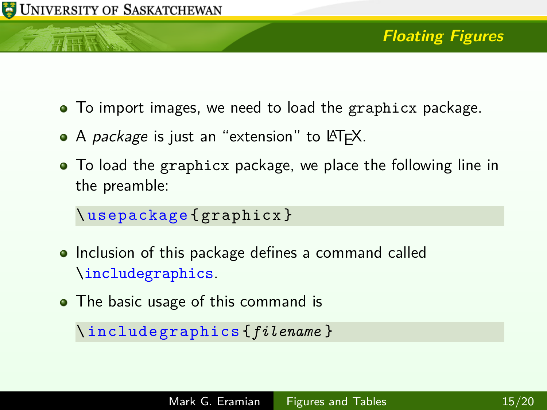

- To import images, we need to load the graphicx package.
- A *package* is just an "extension" to LAT<sub>F</sub>X.
- To load the graphicx package, we place the following line in the preamble:

```
\ usepackage { graphicx }
```
- Inclusion of this package defines a command called \includegraphics.
- The basic usage of this command is

```
\ includegraphics {filename }
```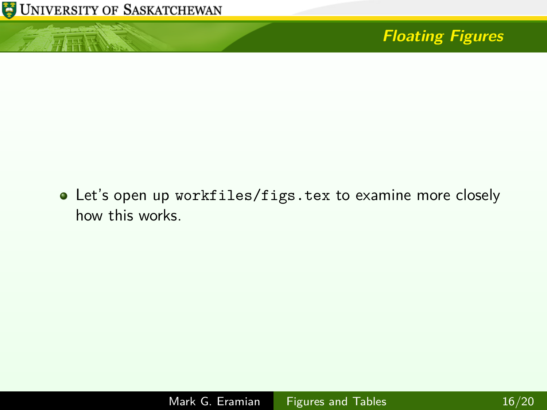

小豆酥

# **Floating Figures**

Let's open up workfiles/figs.tex to examine more closely how this works.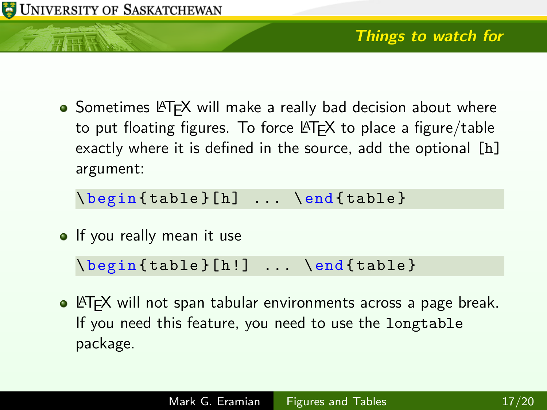

• Sometimes LAT<sub>E</sub>X will make a really bad decision about where to put floating figures. To force  $\langle \text{HT}_{\mathsf{F}} \times \rangle$  to place a figure/table exactly where it is defined in the source, add the optional [h] argument:

 $\begin{bmatrix} \begin{array}{ccc} \begin{array}{ccc} \end{array} & \begin{array}{ccc} \end{array} & \begin{array}{ccc} \end{array} & \begin{array}{ccc} \end{array} & \begin{array}{ccc} \end{array} & \begin{array}{ccc} \end{array} & \begin{array}{ccc} \end{array} & \begin{array}{ccc} \end{array} & \begin{array}{ccc} \end{array} & \begin{array}{ccc} \end{array} & \begin{array}{ccc} \end{array} & \begin{array}{ccc} \end{array} & \begin{array}{ccc} \end{array} & \begin{array}{ccc} \end{array} & \begin{array}{ccc} \end{array} & \begin{array}{ccc} \end{array}$ 

• If you really mean it use

 $\begin{bmatrix} \begin{bmatrix} \begin{bmatrix} \end{bmatrix} & \begin{bmatrix} \end{bmatrix} & \begin{bmatrix} \end{bmatrix} & \begin{bmatrix} \end{bmatrix} & \begin{bmatrix} \end{bmatrix} & \begin{bmatrix} \end{bmatrix} & \begin{bmatrix} \end{bmatrix} & \begin{bmatrix} \end{bmatrix} & \begin{bmatrix} \end{bmatrix} & \begin{bmatrix} \end{bmatrix} & \begin{bmatrix} \end{bmatrix} & \begin{bmatrix} \end{bmatrix} & \begin{bmatrix} \end{bmatrix} & \begin{bmatrix} \end{bmatrix} & \begin{bmatrix} \end{bmatrix} & \begin{bmatrix} \end{bmatrix} &$ 

• LAT<sub>E</sub>X will not span tabular environments across a page break. If you need this feature, you need to use the longtable package.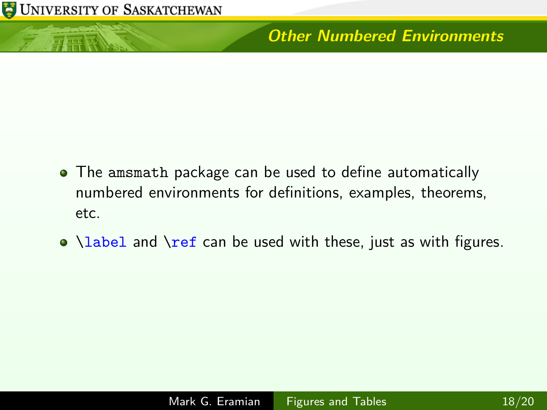

有正版

#### **Other Numbered Environments**

- The amsmath package can be used to define automatically numbered environments for definitions, examples, theorems, etc.
- $\bullet$  \label and \ref can be used with these, just as with figures.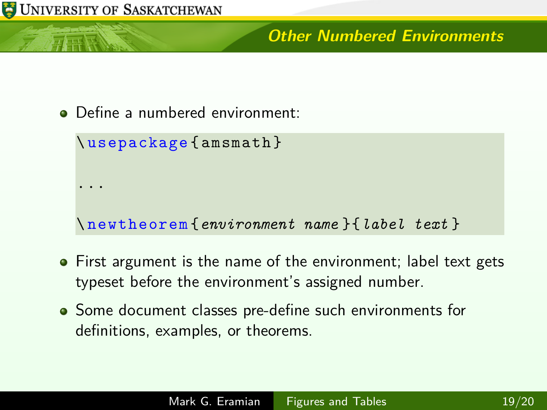

### **Other Numbered Environments**

Define a numbered environment:

```
\ usepackage { amsmath }
...
\ newtheorem {environment name }{label text }
```
- First argument is the name of the environment; label text gets typeset before the environment's assigned number.
- Some document classes pre-define such environments for definitions, examples, or theorems.